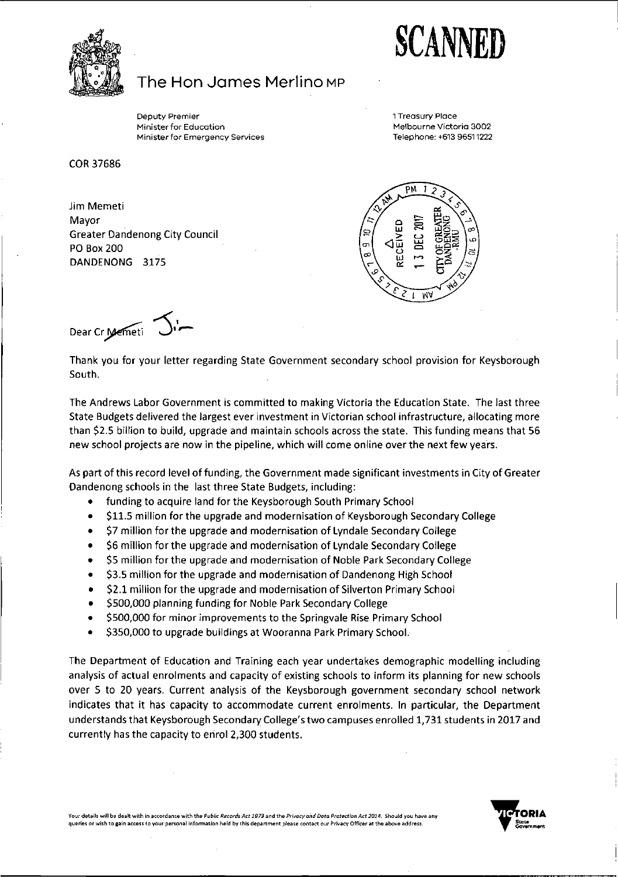**SCANNED**



## The Hon Jannes Merlino mp

Deputy Premier Minister for Education<br>... Ministerfor Emergency Services <sup>1</sup> Treasury Place Melbourne Victoria 3002 Telephone: +613 96511222

COR 37686

Jim Memeti Mayor Greater Dandenong City Council PO Box 200 DANDENONG 3175



Dear Cr Memeti J.

Thank you for your letter regarding State Government secondary school provision for Keysborough South.

The Andrews Labor Government is committed to making Victoria the Education State. The last three State Budgets delivered the largest ever investment in Victorian school infrastructure, allocating more than \$2.5 billion to build, upgrade and maintain schools across the state. This funding means that 56 new school projects are now in the pipeline, which will come online over the next few years.

As part of this record level of funding, the Government made significant investments in City of Greater Dandenong schools in the last three State Budgets, including:

- funding to acquire land for the Keysborough South Primary School
- \$11.5 million for the upgrade and modernisation of Keysborough Secondary College
- \$7 million for the upgrade and modernisation of Lyndale Secondary College
- \$6 million for the upgrade and modernisation of Lyndale Secondary College
- \$5 million for the upgrade and modernisation of Noble Park Secondary College
- \$3.5 million for the upgrade and modernisation of Dandenong High School
- \$2.1 million for the upgrade and modernisation of Silverton Primary School
- \$500,000 planning funding for Noble Park Secondary College
- \$500,000 for minor improvements to the Springvale Rise Primary School
- \$350,000 to upgrade buildings at Wooranna Park Primary School.

The Department of Education and Training each year undertakes demographic modelling including analysis of actual enrolments and capacity of existing schools to inform its planning for new schools over 5 to 20 years. Current analysis of the Keysborough government secondary school network indicates that it has capacity to accommodate current enrolments. In particular, the Department understands that Keysborough Secondary College's two campuses enrolled 1,731 students in 2017 and currently has the capacity to enrol 2,300 students.

Your details will be dealt with in accordance with the Public Records Act 1973 and the Privacy and Data Protection Act 2014. Should you have any<br>queries or wish to gain access to your personal information held by this depa **queries or wish to gain access to your personal information held by this department please contact our Privacy Officer at the above address.**